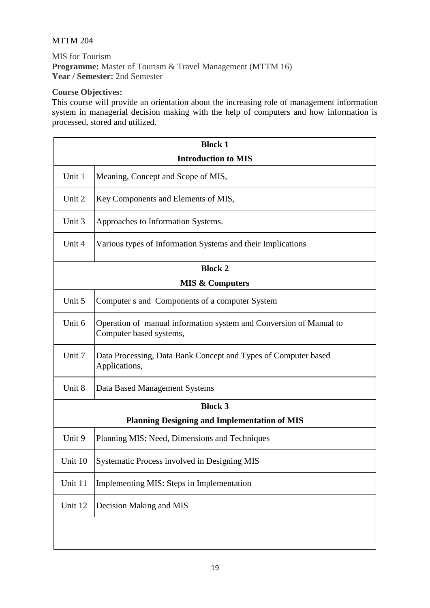## MTTM 204

MIS for Tourism **Programme:** Master of Tourism & Travel Management (MTTM 16) **Year / Semester:** 2nd Semester

## **Course Objectives:**

This course will provide an orientation about the increasing role of management information system in managerial decision making with the help of computers and how information is processed, stored and utilized.

| <b>Block 1</b>                                      |                                                                                               |  |
|-----------------------------------------------------|-----------------------------------------------------------------------------------------------|--|
| <b>Introduction to MIS</b>                          |                                                                                               |  |
| Unit 1                                              | Meaning, Concept and Scope of MIS,                                                            |  |
| Unit 2                                              | Key Components and Elements of MIS,                                                           |  |
| Unit 3                                              | Approaches to Information Systems.                                                            |  |
| Unit 4                                              | Various types of Information Systems and their Implications                                   |  |
| <b>Block 2</b>                                      |                                                                                               |  |
| <b>MIS &amp; Computers</b>                          |                                                                                               |  |
| Unit 5                                              | Computer s and Components of a computer System                                                |  |
| Unit 6                                              | Operation of manual information system and Conversion of Manual to<br>Computer based systems, |  |
| Unit 7                                              | Data Processing, Data Bank Concept and Types of Computer based<br>Applications,               |  |
| Unit 8                                              | Data Based Management Systems                                                                 |  |
| <b>Block 3</b>                                      |                                                                                               |  |
| <b>Planning Designing and Implementation of MIS</b> |                                                                                               |  |
| Unit 9                                              | Planning MIS: Need, Dimensions and Techniques                                                 |  |
| Unit 10                                             | Systematic Process involved in Designing MIS                                                  |  |
| Unit 11                                             | Implementing MIS: Steps in Implementation                                                     |  |
| Unit 12                                             | Decision Making and MIS                                                                       |  |
|                                                     |                                                                                               |  |